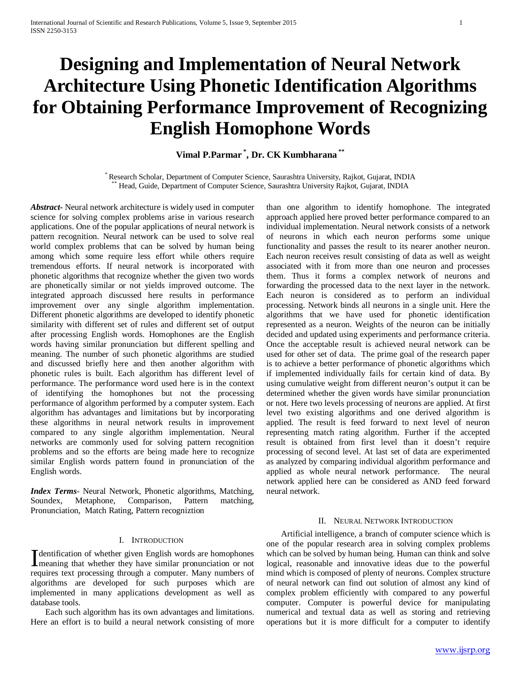# **Designing and Implementation of Neural Network Architecture Using Phonetic Identification Algorithms for Obtaining Performance Improvement of Recognizing English Homophone Words**

# **Vimal P.Parmar \* , Dr. CK Kumbharana \*\***

\* Research Scholar, Department of Computer Science, Saurashtra University, Rajkot, Gujarat, INDIA \*\* Head, Guide, Department of Computer Science, Saurashtra University Rajkot, Gujarat, INDIA

*Abstract***-** Neural network architecture is widely used in computer science for solving complex problems arise in various research applications. One of the popular applications of neural network is pattern recognition. Neural network can be used to solve real world complex problems that can be solved by human being among which some require less effort while others require tremendous efforts. If neural network is incorporated with phonetic algorithms that recognize whether the given two words are phonetically similar or not yields improved outcome. The integrated approach discussed here results in performance improvement over any single algorithm implementation. Different phonetic algorithms are developed to identify phonetic similarity with different set of rules and different set of output after processing English words. Homophones are the English words having similar pronunciation but different spelling and meaning. The number of such phonetic algorithms are studied and discussed briefly here and then another algorithm with phonetic rules is built. Each algorithm has different level of performance. The performance word used here is in the context of identifying the homophones but not the processing performance of algorithm performed by a computer system. Each algorithm has advantages and limitations but by incorporating these algorithms in neural network results in improvement compared to any single algorithm implementation. Neural networks are commonly used for solving pattern recognition problems and so the efforts are being made here to recognize similar English words pattern found in pronunciation of the English words.

*Index Terms*- Neural Network, Phonetic algorithms, Matching, Soundex, Metaphone, Comparison, Pattern matching, Pronunciation, Match Rating, Pattern recogniztion

#### I. INTRODUCTION

dentification of whether given English words are homophones Mentification of whether given English words are homophones<br>
Imeaning that whether they have similar pronunciation or not requires text processing through a computer. Many numbers of algorithms are developed for such purposes which are implemented in many applications development as well as database tools.

 Each such algorithm has its own advantages and limitations. Here an effort is to build a neural network consisting of more than one algorithm to identify homophone. The integrated approach applied here proved better performance compared to an individual implementation. Neural network consists of a network of neurons in which each neuron performs some unique functionality and passes the result to its nearer another neuron. Each neuron receives result consisting of data as well as weight associated with it from more than one neuron and processes them. Thus it forms a complex network of neurons and forwarding the processed data to the next layer in the network. Each neuron is considered as to perform an individual processing. Network binds all neurons in a single unit. Here the algorithms that we have used for phonetic identification represented as a neuron. Weights of the neuron can be initially decided and updated using experiments and performance criteria. Once the acceptable result is achieved neural network can be used for other set of data. The prime goal of the research paper is to achieve a better performance of phonetic algorithms which if implemented individually fails for certain kind of data. By using cumulative weight from different neuron's output it can be determined whether the given words have similar pronunciation or not. Here two levels processing of neurons are applied. At first level two existing algorithms and one derived algorithm is applied. The result is feed forward to next level of neuron representing match rating algorithm. Further if the accepted result is obtained from first level than it doesn't require processing of second level. At last set of data are experimented as analyzed by comparing individual algorithm performance and applied as whole neural network performance. The neural network applied here can be considered as AND feed forward neural network.

#### II. NEURAL NETWORK INTRODUCTION

 Artificial intelligence, a branch of computer science which is one of the popular research area in solving complex problems which can be solved by human being. Human can think and solve logical, reasonable and innovative ideas due to the powerful mind which is composed of plenty of neurons. Complex structure of neural network can find out solution of almost any kind of complex problem efficiently with compared to any powerful computer. Computer is powerful device for manipulating numerical and textual data as well as storing and retrieving operations but it is more difficult for a computer to identify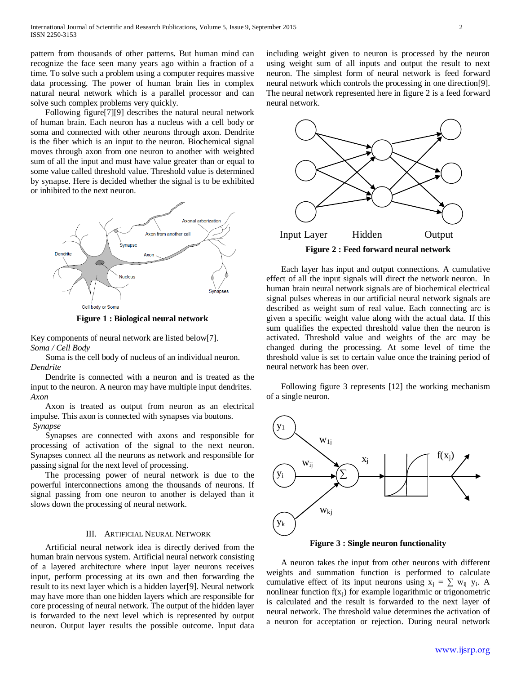pattern from thousands of other patterns. But human mind can recognize the face seen many years ago within a fraction of a time. To solve such a problem using a computer requires massive data processing. The power of human brain lies in complex natural neural network which is a parallel processor and can solve such complex problems very quickly.

 Following figure[7][9] describes the natural neural network of human brain. Each neuron has a nucleus with a cell body or soma and connected with other neurons through axon. Dendrite is the fiber which is an input to the neuron. Biochemical signal moves through axon from one neuron to another with weighted sum of all the input and must have value greater than or equal to some value called threshold value. Threshold value is determined by synapse. Here is decided whether the signal is to be exhibited or inhibited to the next neuron.



**Figure 1 : Biological neural network**

Key components of neural network are listed below[7]. *Soma / Cell Body* 

 Soma is the cell body of nucleus of an individual neuron. *Dendrite*

 Dendrite is connected with a neuron and is treated as the input to the neuron. A neuron may have multiple input dendrites. *Axon*

 Axon is treated as output from neuron as an electrical impulse. This axon is connected with synapses via boutons. *Synapse*

 Synapses are connected with axons and responsible for processing of activation of the signal to the next neuron. Synapses connect all the neurons as network and responsible for passing signal for the next level of processing.

 The processing power of neural network is due to the powerful interconnections among the thousands of neurons. If signal passing from one neuron to another is delayed than it slows down the processing of neural network.

# III. ARTIFICIAL NEURAL NETWORK

 Artificial neural network idea is directly derived from the human brain nervous system. Artificial neural network consisting of a layered architecture where input layer neurons receives input, perform processing at its own and then forwarding the result to its next layer which is a hidden layer[9]. Neural network may have more than one hidden layers which are responsible for core processing of neural network. The output of the hidden layer is forwarded to the next level which is represented by output neuron. Output layer results the possible outcome. Input data including weight given to neuron is processed by the neuron using weight sum of all inputs and output the result to next neuron. The simplest form of neural network is feed forward neural network which controls the processing in one direction[9]. The neural network represented here in figure 2 is a feed forward neural network.



 Each layer has input and output connections. A cumulative effect of all the input signals will direct the network neuron. In human brain neural network signals are of biochemical electrical signal pulses whereas in our artificial neural network signals are described as weight sum of real value. Each connecting arc is given a specific weight value along with the actual data. If this sum qualifies the expected threshold value then the neuron is activated. Threshold value and weights of the arc may be changed during the processing. At some level of time the threshold value is set to certain value once the training period of neural network has been over.

 Following figure 3 represents [12] the working mechanism of a single neuron.



**Figure 3 : Single neuron functionality**

 A neuron takes the input from other neurons with different weights and summation function is performed to calculate cumulative effect of its input neurons using  $x_i = \sum w_{ii} y_i$ . A nonlinear function  $f(x_i)$  for example logarithmic or trigonometric is calculated and the result is forwarded to the next layer of neural network. The threshold value determines the activation of a neuron for acceptation or rejection. During neural network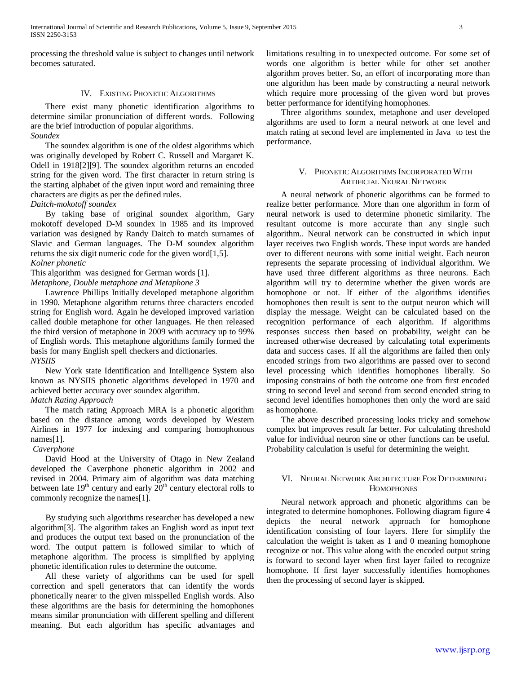processing the threshold value is subject to changes until network becomes saturated.

# IV. EXISTING PHONETIC ALGORITHMS

 There exist many phonetic identification algorithms to determine similar pronunciation of different words. Following are the brief introduction of popular algorithms. *Soundex* 

 The soundex algorithm is one of the oldest algorithms which was originally developed by Robert C. Russell and Margaret K. Odell in 1918[2][9]. The soundex algorithm returns an encoded string for the given word. The first character in return string is the starting alphabet of the given input word and remaining three characters are digits as per the defined rules.

*Daitch-mokotoff soundex*

 By taking base of original soundex algorithm, Gary mokotoff developed D-M soundex in 1985 and its improved variation was designed by Randy Daitch to match surnames of Slavic and German languages. The D-M soundex algorithm returns the six digit numeric code for the given word[1,5].

#### *Kolner phonetic*

This algorithm was designed for German words [1].

*Metaphone, Double metaphone and Metaphone 3*

 Lawrence Phillips Initially developed metaphone algorithm in 1990. Metaphone algorithm returns three characters encoded string for English word. Again he developed improved variation called double metaphone for other languages. He then released the third version of metaphone in 2009 with accuracy up to 99% of English words. This metaphone algorithms family formed the basis for many English spell checkers and dictionaries. *NYSIIS*

 New York state Identification and Intelligence System also known as NYSIIS phonetic algorithms developed in 1970 and achieved better accuracy over soundex algorithm.

# *Match Rating Approach*

 The match rating Approach MRA is a phonetic algorithm based on the distance among words developed by Western Airlines in 1977 for indexing and comparing homophonous names[1].

#### *Caverphone*

 David Hood at the University of Otago in New Zealand developed the Caverphone phonetic algorithm in 2002 and revised in 2004. Primary aim of algorithm was data matching between late  $19<sup>th</sup>$  century and early  $20<sup>th</sup>$  century electoral rolls to commonly recognize the names[1].

 By studying such algorithms researcher has developed a new algorithm[3]. The algorithm takes an English word as input text and produces the output text based on the pronunciation of the word. The output pattern is followed similar to which of metaphone algorithm. The process is simplified by applying phonetic identification rules to determine the outcome.

 All these variety of algorithms can be used for spell correction and spell generators that can identify the words phonetically nearer to the given misspelled English words. Also these algorithms are the basis for determining the homophones means similar pronunciation with different spelling and different meaning. But each algorithm has specific advantages and limitations resulting in to unexpected outcome. For some set of words one algorithm is better while for other set another algorithm proves better. So, an effort of incorporating more than one algorithm has been made by constructing a neural network which require more processing of the given word but proves better performance for identifying homophones.

 Three algorithms soundex, metaphone and user developed algorithms are used to form a neural network at one level and match rating at second level are implemented in Java to test the performance.

#### V. PHONETIC ALGORITHMS INCORPORATED WITH ARTIFICIAL NEURAL NETWORK

 A neural network of phonetic algorithms can be formed to realize better performance. More than one algorithm in form of neural network is used to determine phonetic similarity. The resultant outcome is more accurate than any single such algorithm.. Neural network can be constructed in which input layer receives two English words. These input words are handed over to different neurons with some initial weight. Each neuron represents the separate processing of individual algorithm. We have used three different algorithms as three neurons. Each algorithm will try to determine whether the given words are homophone or not. If either of the algorithms identifies homophones then result is sent to the output neuron which will display the message. Weight can be calculated based on the recognition performance of each algorithm. If algorithms responses success then based on probability, weight can be increased otherwise decreased by calculating total experiments data and success cases. If all the algorithms are failed then only encoded strings from two algorithms are passed over to second level processing which identifies homophones liberally. So imposing constrains of both the outcome one from first encoded string to second level and second from second encoded string to second level identifies homophones then only the word are said as homophone.

 The above described processing looks tricky and somehow complex but improves result far better. For calculating threshold value for individual neuron sine or other functions can be useful. Probability calculation is useful for determining the weight.

# VI. NEURAL NETWORK ARCHITECTURE FOR DETERMINING **HOMOPHONES**

 Neural network approach and phonetic algorithms can be integrated to determine homophones. Following diagram figure 4 depicts the neural network approach for homophone identification consisting of four layers. Here for simplify the calculation the weight is taken as 1 and 0 meaning homophone recognize or not. This value along with the encoded output string is forward to second layer when first layer failed to recognize homophone. If first layer successfully identifies homophones then the processing of second layer is skipped.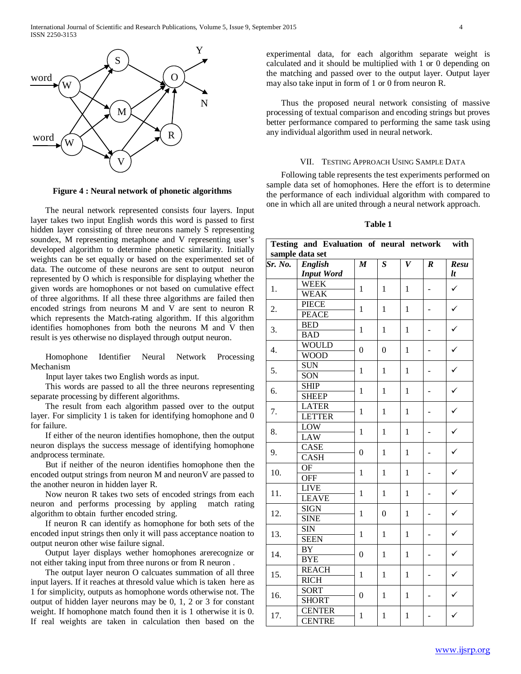

**Figure 4 : Neural network of phonetic algorithms**

 The neural network represented consists four layers. Input layer takes two input English words this word is passed to first hidden layer consisting of three neurons namely S representing soundex, M representing metaphone and V representing user's developed algorithm to determine phonetic similarity. Initially weights can be set equally or based on the experimented set of data. The outcome of these neurons are sent to output neuron represented by O which is responsible for displaying whether the given words are homophones or not based on cumulative effect of three algorithms. If all these three algorithms are failed then encoded strings from neurons M and V are sent to neuron R which represents the Match-rating algorithm. If this algorithm identifies homophones from both the neurons M and V then result is yes otherwise no displayed through output neuron.

 Homophone Identifier Neural Network Processing Mechanism

Input layer takes two English words as input.

 This words are passed to all the three neurons representing separate processing by different algorithms.

 The result from each algorithm passed over to the output layer. For simplicity 1 is taken for identifying homophone and 0 for failure.

 If either of the neuron identifies homophone, then the output neuron displays the success message of identifying homophone andprocess terminate.

 But if neither of the neuron identifies homophone then the encoded output strings from neuron M and neuronV are passed to the another neuron in hidden layer R.

 Now neuron R takes two sets of encoded strings from each neuron and performs processing by appling match rating algorithm to obtain further encoded string.

 If neuron R can identify as homophone for both sets of the encoded input strings then only it will pass acceptance noation to output neuron other wise failure signal.

 Output layer displays wether homophones arerecognize or not either taking input from three nurons or from R neuron .

 The output layer neuron O calcuates summation of all three input layers. If it reaches at thresold value which is taken here as 1 for simplicity, outputs as homophone words otherwise not. The output of hidden layer neurons may be 0, 1, 2 or 3 for constant weight. If homophone match found then it is 1 otherwise it is 0. If real weights are taken in calculation then based on the experimental data, for each algorithm separate weight is calculated and it should be multiplied with 1 or 0 depending on the matching and passed over to the output layer. Output layer may also take input in form of 1 or 0 from neuron R.

 Thus the proposed neural network consisting of massive processing of textual comparison and encoding strings but proves better performance compared to performing the same task using any individual algorithm used in neural network.

#### VII. TESTING APPROACH USING SAMPLE DATA

 Following table represents the test experiments performed on sample data set of homophones. Here the effort is to determine the performance of each individual algorithm with compared to one in which all are united through a neural network approach.

#### **Table 1**

| <b>English</b><br>$\overline{S}$<br>$\overline{V}$<br>Sr. No.<br>$\overline{M}$<br>$\overline{Resu}$<br>$\boldsymbol{R}$<br>lt<br><b>Input Word</b><br><b>WEEK</b><br>$\checkmark$<br>1.<br>$\mathbf{1}$<br>$\mathbf{1}$<br>$\mathbf{1}$<br><b>WEAK</b><br><b>PIECE</b><br>✓<br>2.<br>$\mathbf{1}$<br>$\mathbf{1}$<br>1<br><b>PEACE</b><br><b>BED</b><br>✓<br>3.<br>$\mathbf{1}$<br>$\mathbf{1}$<br>$\mathbf{1}$<br><b>BAD</b><br><b>WOULD</b><br>✓<br>$\overline{4}$ .<br>$\theta$<br>$\boldsymbol{0}$<br>$\mathbf{1}$<br><b>WOOD</b><br><b>SUN</b><br>✓<br>5.<br>1<br>$\mathbf{1}$<br>$\mathbf{1}$<br>SON<br><b>SHIP</b><br>✓<br>6.<br>1<br>1<br>1<br><b>SHEEP</b><br><b>LATER</b><br>$\checkmark$<br>7.<br>1<br>$\mathbf{1}$<br>$\mathbf{1}$<br><b>LETTER</b><br>LOW<br>$\checkmark$<br>8.<br>$\mathbf{1}$<br>$\mathbf{1}$<br>$\mathbf{1}$<br><b>LAW</b><br>CASE<br>$\checkmark$<br>9.<br>$\mathbf{0}$<br>$\mathbf{1}$<br>$\mathbf{1}$<br><b>CASH</b><br><b>OF</b><br>✓<br>10.<br>$\mathbf{1}$<br>$\mathbf{1}$<br>$\mathbf{1}$<br><b>OFF</b><br><b>LIVE</b><br>✓<br>11.<br>$\mathbf{1}$<br>$\mathbf{1}$<br>$\mathbf{1}$<br><b>LEAVE</b><br><b>SIGN</b><br>✓<br>12.<br>$\mathbf{1}$<br>$\boldsymbol{0}$<br>$\mathbf{1}$<br><b>SINE</b><br><b>SIN</b><br>✓<br>13.<br>$\mathbf{1}$<br>$\mathbf{1}$<br>$\mathbf{1}$<br><b>SEEN</b><br><b>BY</b><br>✓<br>14.<br>$\mathbf{0}$<br>$\mathbf{1}$<br>$\mathbf{1}$<br><b>BYE</b><br><b>REACH</b><br>✓<br>15.<br>$\mathbf{1}$<br>$\mathbf{1}$<br>$\mathbf{1}$<br><b>RICH</b><br><b>SORT</b><br>16.<br>$\mathbf{0}$<br>$\mathbf{1}$<br>$\mathbf{1}$<br><b>SHORT</b><br><b>CENTER</b><br>17.<br>$\mathbf{1}$<br>✓<br>1<br>1<br><b>CENTRE</b> |                 | Testing and Evaluation of neural network |  |  |  |  | with |  |  |  |
|-----------------------------------------------------------------------------------------------------------------------------------------------------------------------------------------------------------------------------------------------------------------------------------------------------------------------------------------------------------------------------------------------------------------------------------------------------------------------------------------------------------------------------------------------------------------------------------------------------------------------------------------------------------------------------------------------------------------------------------------------------------------------------------------------------------------------------------------------------------------------------------------------------------------------------------------------------------------------------------------------------------------------------------------------------------------------------------------------------------------------------------------------------------------------------------------------------------------------------------------------------------------------------------------------------------------------------------------------------------------------------------------------------------------------------------------------------------------------------------------------------------------------------------------------------------------------------------------------------------------------------------------------------------------------------------|-----------------|------------------------------------------|--|--|--|--|------|--|--|--|
|                                                                                                                                                                                                                                                                                                                                                                                                                                                                                                                                                                                                                                                                                                                                                                                                                                                                                                                                                                                                                                                                                                                                                                                                                                                                                                                                                                                                                                                                                                                                                                                                                                                                                   | sample data set |                                          |  |  |  |  |      |  |  |  |
|                                                                                                                                                                                                                                                                                                                                                                                                                                                                                                                                                                                                                                                                                                                                                                                                                                                                                                                                                                                                                                                                                                                                                                                                                                                                                                                                                                                                                                                                                                                                                                                                                                                                                   |                 |                                          |  |  |  |  |      |  |  |  |
|                                                                                                                                                                                                                                                                                                                                                                                                                                                                                                                                                                                                                                                                                                                                                                                                                                                                                                                                                                                                                                                                                                                                                                                                                                                                                                                                                                                                                                                                                                                                                                                                                                                                                   |                 |                                          |  |  |  |  |      |  |  |  |
|                                                                                                                                                                                                                                                                                                                                                                                                                                                                                                                                                                                                                                                                                                                                                                                                                                                                                                                                                                                                                                                                                                                                                                                                                                                                                                                                                                                                                                                                                                                                                                                                                                                                                   |                 |                                          |  |  |  |  |      |  |  |  |
|                                                                                                                                                                                                                                                                                                                                                                                                                                                                                                                                                                                                                                                                                                                                                                                                                                                                                                                                                                                                                                                                                                                                                                                                                                                                                                                                                                                                                                                                                                                                                                                                                                                                                   |                 |                                          |  |  |  |  |      |  |  |  |
|                                                                                                                                                                                                                                                                                                                                                                                                                                                                                                                                                                                                                                                                                                                                                                                                                                                                                                                                                                                                                                                                                                                                                                                                                                                                                                                                                                                                                                                                                                                                                                                                                                                                                   |                 |                                          |  |  |  |  |      |  |  |  |
|                                                                                                                                                                                                                                                                                                                                                                                                                                                                                                                                                                                                                                                                                                                                                                                                                                                                                                                                                                                                                                                                                                                                                                                                                                                                                                                                                                                                                                                                                                                                                                                                                                                                                   |                 |                                          |  |  |  |  |      |  |  |  |
|                                                                                                                                                                                                                                                                                                                                                                                                                                                                                                                                                                                                                                                                                                                                                                                                                                                                                                                                                                                                                                                                                                                                                                                                                                                                                                                                                                                                                                                                                                                                                                                                                                                                                   |                 |                                          |  |  |  |  |      |  |  |  |
|                                                                                                                                                                                                                                                                                                                                                                                                                                                                                                                                                                                                                                                                                                                                                                                                                                                                                                                                                                                                                                                                                                                                                                                                                                                                                                                                                                                                                                                                                                                                                                                                                                                                                   |                 |                                          |  |  |  |  |      |  |  |  |
|                                                                                                                                                                                                                                                                                                                                                                                                                                                                                                                                                                                                                                                                                                                                                                                                                                                                                                                                                                                                                                                                                                                                                                                                                                                                                                                                                                                                                                                                                                                                                                                                                                                                                   |                 |                                          |  |  |  |  |      |  |  |  |
|                                                                                                                                                                                                                                                                                                                                                                                                                                                                                                                                                                                                                                                                                                                                                                                                                                                                                                                                                                                                                                                                                                                                                                                                                                                                                                                                                                                                                                                                                                                                                                                                                                                                                   |                 |                                          |  |  |  |  |      |  |  |  |
|                                                                                                                                                                                                                                                                                                                                                                                                                                                                                                                                                                                                                                                                                                                                                                                                                                                                                                                                                                                                                                                                                                                                                                                                                                                                                                                                                                                                                                                                                                                                                                                                                                                                                   |                 |                                          |  |  |  |  |      |  |  |  |
|                                                                                                                                                                                                                                                                                                                                                                                                                                                                                                                                                                                                                                                                                                                                                                                                                                                                                                                                                                                                                                                                                                                                                                                                                                                                                                                                                                                                                                                                                                                                                                                                                                                                                   |                 |                                          |  |  |  |  |      |  |  |  |
|                                                                                                                                                                                                                                                                                                                                                                                                                                                                                                                                                                                                                                                                                                                                                                                                                                                                                                                                                                                                                                                                                                                                                                                                                                                                                                                                                                                                                                                                                                                                                                                                                                                                                   |                 |                                          |  |  |  |  |      |  |  |  |
|                                                                                                                                                                                                                                                                                                                                                                                                                                                                                                                                                                                                                                                                                                                                                                                                                                                                                                                                                                                                                                                                                                                                                                                                                                                                                                                                                                                                                                                                                                                                                                                                                                                                                   |                 |                                          |  |  |  |  |      |  |  |  |
|                                                                                                                                                                                                                                                                                                                                                                                                                                                                                                                                                                                                                                                                                                                                                                                                                                                                                                                                                                                                                                                                                                                                                                                                                                                                                                                                                                                                                                                                                                                                                                                                                                                                                   |                 |                                          |  |  |  |  |      |  |  |  |
|                                                                                                                                                                                                                                                                                                                                                                                                                                                                                                                                                                                                                                                                                                                                                                                                                                                                                                                                                                                                                                                                                                                                                                                                                                                                                                                                                                                                                                                                                                                                                                                                                                                                                   |                 |                                          |  |  |  |  |      |  |  |  |
|                                                                                                                                                                                                                                                                                                                                                                                                                                                                                                                                                                                                                                                                                                                                                                                                                                                                                                                                                                                                                                                                                                                                                                                                                                                                                                                                                                                                                                                                                                                                                                                                                                                                                   |                 |                                          |  |  |  |  |      |  |  |  |
|                                                                                                                                                                                                                                                                                                                                                                                                                                                                                                                                                                                                                                                                                                                                                                                                                                                                                                                                                                                                                                                                                                                                                                                                                                                                                                                                                                                                                                                                                                                                                                                                                                                                                   |                 |                                          |  |  |  |  |      |  |  |  |
|                                                                                                                                                                                                                                                                                                                                                                                                                                                                                                                                                                                                                                                                                                                                                                                                                                                                                                                                                                                                                                                                                                                                                                                                                                                                                                                                                                                                                                                                                                                                                                                                                                                                                   |                 |                                          |  |  |  |  |      |  |  |  |
|                                                                                                                                                                                                                                                                                                                                                                                                                                                                                                                                                                                                                                                                                                                                                                                                                                                                                                                                                                                                                                                                                                                                                                                                                                                                                                                                                                                                                                                                                                                                                                                                                                                                                   |                 |                                          |  |  |  |  |      |  |  |  |
|                                                                                                                                                                                                                                                                                                                                                                                                                                                                                                                                                                                                                                                                                                                                                                                                                                                                                                                                                                                                                                                                                                                                                                                                                                                                                                                                                                                                                                                                                                                                                                                                                                                                                   |                 |                                          |  |  |  |  |      |  |  |  |
|                                                                                                                                                                                                                                                                                                                                                                                                                                                                                                                                                                                                                                                                                                                                                                                                                                                                                                                                                                                                                                                                                                                                                                                                                                                                                                                                                                                                                                                                                                                                                                                                                                                                                   |                 |                                          |  |  |  |  |      |  |  |  |
|                                                                                                                                                                                                                                                                                                                                                                                                                                                                                                                                                                                                                                                                                                                                                                                                                                                                                                                                                                                                                                                                                                                                                                                                                                                                                                                                                                                                                                                                                                                                                                                                                                                                                   |                 |                                          |  |  |  |  |      |  |  |  |
|                                                                                                                                                                                                                                                                                                                                                                                                                                                                                                                                                                                                                                                                                                                                                                                                                                                                                                                                                                                                                                                                                                                                                                                                                                                                                                                                                                                                                                                                                                                                                                                                                                                                                   |                 |                                          |  |  |  |  |      |  |  |  |
|                                                                                                                                                                                                                                                                                                                                                                                                                                                                                                                                                                                                                                                                                                                                                                                                                                                                                                                                                                                                                                                                                                                                                                                                                                                                                                                                                                                                                                                                                                                                                                                                                                                                                   |                 |                                          |  |  |  |  |      |  |  |  |
|                                                                                                                                                                                                                                                                                                                                                                                                                                                                                                                                                                                                                                                                                                                                                                                                                                                                                                                                                                                                                                                                                                                                                                                                                                                                                                                                                                                                                                                                                                                                                                                                                                                                                   |                 |                                          |  |  |  |  |      |  |  |  |
|                                                                                                                                                                                                                                                                                                                                                                                                                                                                                                                                                                                                                                                                                                                                                                                                                                                                                                                                                                                                                                                                                                                                                                                                                                                                                                                                                                                                                                                                                                                                                                                                                                                                                   |                 |                                          |  |  |  |  |      |  |  |  |
|                                                                                                                                                                                                                                                                                                                                                                                                                                                                                                                                                                                                                                                                                                                                                                                                                                                                                                                                                                                                                                                                                                                                                                                                                                                                                                                                                                                                                                                                                                                                                                                                                                                                                   |                 |                                          |  |  |  |  |      |  |  |  |
|                                                                                                                                                                                                                                                                                                                                                                                                                                                                                                                                                                                                                                                                                                                                                                                                                                                                                                                                                                                                                                                                                                                                                                                                                                                                                                                                                                                                                                                                                                                                                                                                                                                                                   |                 |                                          |  |  |  |  |      |  |  |  |
|                                                                                                                                                                                                                                                                                                                                                                                                                                                                                                                                                                                                                                                                                                                                                                                                                                                                                                                                                                                                                                                                                                                                                                                                                                                                                                                                                                                                                                                                                                                                                                                                                                                                                   |                 |                                          |  |  |  |  |      |  |  |  |
|                                                                                                                                                                                                                                                                                                                                                                                                                                                                                                                                                                                                                                                                                                                                                                                                                                                                                                                                                                                                                                                                                                                                                                                                                                                                                                                                                                                                                                                                                                                                                                                                                                                                                   |                 |                                          |  |  |  |  |      |  |  |  |
|                                                                                                                                                                                                                                                                                                                                                                                                                                                                                                                                                                                                                                                                                                                                                                                                                                                                                                                                                                                                                                                                                                                                                                                                                                                                                                                                                                                                                                                                                                                                                                                                                                                                                   |                 |                                          |  |  |  |  |      |  |  |  |
|                                                                                                                                                                                                                                                                                                                                                                                                                                                                                                                                                                                                                                                                                                                                                                                                                                                                                                                                                                                                                                                                                                                                                                                                                                                                                                                                                                                                                                                                                                                                                                                                                                                                                   |                 |                                          |  |  |  |  |      |  |  |  |
|                                                                                                                                                                                                                                                                                                                                                                                                                                                                                                                                                                                                                                                                                                                                                                                                                                                                                                                                                                                                                                                                                                                                                                                                                                                                                                                                                                                                                                                                                                                                                                                                                                                                                   |                 |                                          |  |  |  |  |      |  |  |  |
|                                                                                                                                                                                                                                                                                                                                                                                                                                                                                                                                                                                                                                                                                                                                                                                                                                                                                                                                                                                                                                                                                                                                                                                                                                                                                                                                                                                                                                                                                                                                                                                                                                                                                   |                 |                                          |  |  |  |  |      |  |  |  |
|                                                                                                                                                                                                                                                                                                                                                                                                                                                                                                                                                                                                                                                                                                                                                                                                                                                                                                                                                                                                                                                                                                                                                                                                                                                                                                                                                                                                                                                                                                                                                                                                                                                                                   |                 |                                          |  |  |  |  |      |  |  |  |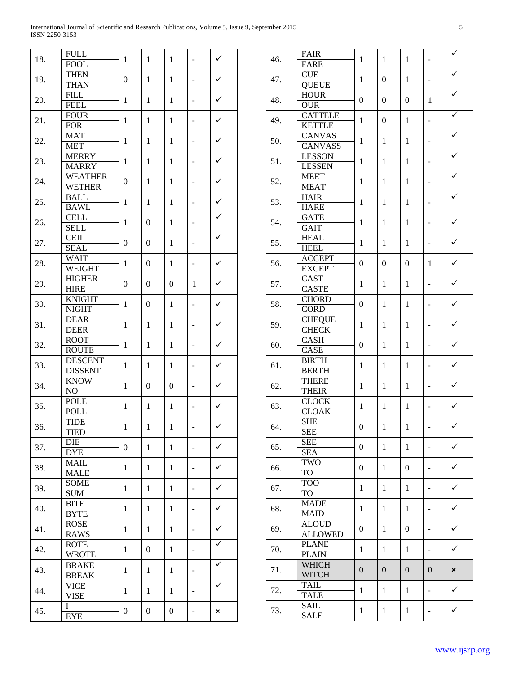$\overline{\phantom{0}}$ 

| 18. | <b>FULL</b><br><b>FOOL</b>      | $\mathbf{1}$     | $\mathbf{1}$     | $\mathbf{1}$                 |                                                      | $\checkmark$ |
|-----|---------------------------------|------------------|------------------|------------------------------|------------------------------------------------------|--------------|
|     | <b>THEN</b>                     |                  |                  |                              |                                                      |              |
| 19. | <b>THAN</b>                     | $\overline{0}$   | $\mathbf{1}$     | $\mathbf{1}$                 | -                                                    | $\checkmark$ |
| 20. | <b>FILL</b>                     | $\mathbf{1}$     | $\mathbf{1}$     | $\mathbf{1}$                 | -                                                    | $\checkmark$ |
|     | <b>FEEL</b>                     |                  |                  |                              |                                                      |              |
| 21. | <b>FOUR</b><br><b>FOR</b>       | $\mathbf{1}$     | $\mathbf{1}$     | $\mathbf{1}$                 | -                                                    | $\checkmark$ |
|     | <b>MAT</b>                      |                  |                  |                              |                                                      |              |
| 22. | MET                             | $\mathbf{1}$     | 1                | $\mathbf{1}$                 | -                                                    | $\checkmark$ |
| 23. | <b>MERRY</b>                    | $\mathbf{1}$     | 1                | $\mathbf{1}$                 | -                                                    | $\checkmark$ |
|     | <b>MARRY</b>                    |                  |                  |                              |                                                      |              |
| 24. | <b>WEATHER</b><br><b>WETHER</b> | $\boldsymbol{0}$ | $\mathbf{1}$     | $\mathbf{1}$                 | -                                                    | ✓            |
|     | <b>BALL</b>                     |                  |                  |                              |                                                      |              |
| 25. | <b>BAWL</b>                     | $\mathbf{1}$     | $\mathbf{1}$     | $\mathbf{1}$                 | -                                                    | $\checkmark$ |
| 26. | CELL                            | $\mathbf{1}$     | $\boldsymbol{0}$ | $\mathbf{1}$                 | -                                                    | ✓            |
|     | <b>SELL</b>                     |                  |                  |                              |                                                      |              |
| 27. | <b>CEIL</b><br><b>SEAL</b>      | $\boldsymbol{0}$ | $\boldsymbol{0}$ | $\mathbf{1}$                 | -                                                    | ✓            |
|     | <b>WAIT</b>                     |                  |                  |                              |                                                      |              |
| 28. | <b>WEIGHT</b>                   | $\mathbf{1}$     | $\boldsymbol{0}$ | $\mathbf{1}$                 | -                                                    | ✓            |
| 29. | <b>HIGHER</b>                   | $\boldsymbol{0}$ | $\boldsymbol{0}$ | $\boldsymbol{0}$             | 1                                                    | ✓            |
|     | <b>HIRE</b>                     |                  |                  |                              |                                                      |              |
| 30. | <b>KNIGHT</b>                   | $\mathbf{1}$     | $\boldsymbol{0}$ | $\mathbf{1}$                 | -                                                    | $\checkmark$ |
|     | <b>NIGHT</b><br><b>DEAR</b>     |                  |                  | $\mathbf{1}$                 | -                                                    | $\checkmark$ |
| 31. | <b>DEER</b>                     | $\mathbf{1}$     | $\mathbf{1}$     |                              |                                                      |              |
| 32. | <b>ROOT</b>                     | $\mathbf{1}$     | $\mathbf{1}$     | $\mathbf{1}$                 | -                                                    | ✓<br>✓       |
|     | <b>ROUTE</b>                    |                  |                  |                              |                                                      |              |
| 33. | <b>DESCENT</b>                  | 1                | $\mathbf{1}$     | $\mathbf{1}$                 | -                                                    |              |
|     | <b>DISSENT</b><br><b>KNOW</b>   |                  | $\boldsymbol{0}$ | $\boldsymbol{0}$             | -                                                    |              |
| 34. | NO.                             | $\mathbf{1}$     |                  |                              |                                                      | ✓            |
|     | <b>POLE</b>                     | $\mathbf{1}$     | $\mathbf{1}$     | $\mathbf{1}$                 |                                                      | ✓            |
| 35. | <b>POLL</b>                     |                  |                  |                              | -                                                    |              |
| 36. | <b>TIDE</b>                     | $\mathbf{1}$     | $\mathbf{1}$     | $\mathbf{1}$                 |                                                      | $\checkmark$ |
|     | <b>TIED</b><br>DIE              |                  |                  |                              |                                                      |              |
| 37. | <b>DYE</b>                      | $\overline{0}$   | $\mathbf{1}$     | $\mathbf{1}$                 |                                                      | ✓            |
| 38. | MAIL                            | 1                | 1                | 1                            | -                                                    | ✓            |
|     | <b>MALE</b>                     |                  |                  |                              |                                                      |              |
| 39. | SOME                            | 1                | 1                | $\mathbf{1}$<br>$\mathbf{1}$ | $\overline{\phantom{0}}$<br>$\overline{\phantom{0}}$ | ✓            |
|     | SUM<br><b>BITE</b>              |                  |                  |                              |                                                      |              |
| 40. | <b>BYTE</b>                     | 1                | $\mathbf{1}$     |                              |                                                      | ✓            |
| 41. | <b>ROSE</b>                     |                  |                  | $\mathbf{1}$                 | $\overline{\phantom{0}}$                             | ✓            |
|     | <b>RAWS</b>                     | 1                | $\mathbf{1}$     |                              |                                                      |              |
| 42. | <b>ROTE</b>                     | 1                | $\overline{0}$   | $\mathbf{1}$                 | -                                                    |              |
|     | WROTE                           |                  |                  |                              |                                                      |              |
| 43. | <b>BRAKE</b><br><b>BREAK</b>    | 1                | 1                | $\mathbf{1}$                 | -                                                    |              |
|     | <b>VICE</b>                     |                  | 1                | $\mathbf{1}$                 | -                                                    | ✓            |
| 44. | <b>VISE</b>                     | 1                |                  |                              |                                                      |              |
| 45. | I                               | 0                | $\boldsymbol{0}$ | $\boldsymbol{0}$             | -                                                    | ×            |
|     | EYE                             |                  |                  |                              |                                                      |              |

| 46. | <b>FAIR</b><br><b>FARE</b>      | $\mathbf{1}$     | 1                | $\mathbf{1}$     | ÷,                       |                           |
|-----|---------------------------------|------------------|------------------|------------------|--------------------------|---------------------------|
| 47. | <b>CUE</b><br><b>QUEUE</b>      | $\mathbf{1}$     | $\overline{0}$   | $\mathbf{1}$     | ÷,                       |                           |
| 48. | <b>HOUR</b><br><b>OUR</b>       | $\overline{0}$   | $\overline{0}$   | $\boldsymbol{0}$ | 1                        |                           |
| 49. | <b>CATTELE</b><br><b>KETTLE</b> | $\mathbf{1}$     | $\boldsymbol{0}$ | $\mathbf{1}$     | $\overline{a}$           |                           |
| 50. | <b>CANVAS</b><br><b>CANVASS</b> | $\mathbf{1}$     | 1                | 1                |                          |                           |
| 51. | <b>LESSON</b><br><b>LESSEN</b>  | $\mathbf{1}$     | 1                | 1                |                          |                           |
| 52. | <b>MEET</b><br><b>MEAT</b>      | $\mathbf{1}$     | 1                | 1                |                          |                           |
| 53. | <b>HAIR</b><br><b>HARE</b>      | $\mathbf{1}$     | 1                | 1                |                          |                           |
| 54. | <b>GATE</b>                     | $\mathbf{1}$     | 1                | 1                |                          | $\checkmark$              |
| 55. | <b>GAIT</b><br><b>HEAL</b>      | $\mathbf{1}$     | 1                | 1                | $\overline{a}$           | ✓                         |
| 56. | <b>HEEL</b><br><b>ACCEPT</b>    | $\boldsymbol{0}$ | $\boldsymbol{0}$ | $\boldsymbol{0}$ | 1                        | ✓                         |
| 57. | <b>EXCEPT</b><br>CAST           | $\mathbf{1}$     | 1                | $\mathbf{1}$     | ÷,                       | ✓                         |
| 58. | <b>CASTE</b><br><b>CHORD</b>    | $\boldsymbol{0}$ | 1                | 1                | $\overline{a}$           | $\checkmark$              |
| 59. | <b>CORD</b><br><b>CHEQUE</b>    | $\mathbf{1}$     | 1                | 1                |                          | ✓                         |
| 60. | <b>CHECK</b><br>CASH            | $\boldsymbol{0}$ | 1                | 1                |                          | ✓                         |
| 61. | CASE<br><b>BIRTH</b>            | $\mathbf{1}$     | 1                | 1                |                          | ✓                         |
| 62. | <b>BERTH</b><br><b>THERE</b>    | $\mathbf{1}$     | 1                | 1                |                          | ✓                         |
| 63. | <b>THEIR</b><br><b>CLOCK</b>    | 1                | 1                | $\mathbf{1}$     |                          | ✓                         |
|     | <b>CLOAK</b><br><b>SHE</b>      |                  |                  |                  |                          | ✓                         |
| 64. | <b>SEE</b><br><b>SEE</b>        | $\boldsymbol{0}$ | $\mathbf{1}$     | $\mathbf{1}$     |                          |                           |
| 65. | <b>SEA</b><br>TWO               | $\boldsymbol{0}$ | 1                | $\mathbf{1}$     | $\blacksquare$           | ✓                         |
| 66. | TO<br><b>TOO</b>                | $\boldsymbol{0}$ | 1                | $\boldsymbol{0}$ | $\frac{1}{2}$            | ✓                         |
| 67. | TO<br><b>MADE</b>               | $\mathbf{1}$     | 1                | $\mathbf{1}$     | $\frac{1}{2}$            | ✓                         |
| 68. | <b>MAID</b>                     | $\mathbf{1}$     | $\mathbf{1}$     | $\mathbf{1}$     | $\frac{1}{2}$            | ✓                         |
| 69. | <b>ALOUD</b><br><b>ALLOWED</b>  | $\boldsymbol{0}$ | 1                | $\boldsymbol{0}$ | $\frac{1}{2}$            | ✓                         |
| 70. | <b>PLANE</b><br><b>PLAIN</b>    | $\mathbf{1}$     | $\mathbf{1}$     | $\mathbf{1}$     | $\overline{\phantom{0}}$ | ✓                         |
| 71. | <b>WHICH</b><br><b>WITCH</b>    | $\boldsymbol{0}$ | $\boldsymbol{0}$ | $\boldsymbol{0}$ | $\boldsymbol{0}$         | $\boldsymbol{\mathsf{x}}$ |
| 72. | <b>TAIL</b><br><b>TALE</b>      | $\mathbf{1}$     | $\mathbf{1}$     | $\mathbf{1}$     | $\blacksquare$           | ✓                         |
| 73. | <b>SAIL</b><br><b>SALE</b>      | $\mathbf{1}$     | $\mathbf{1}$     | $\mathbf{1}$     | $\overline{\phantom{0}}$ | ✓                         |
|     |                                 |                  |                  |                  |                          |                           |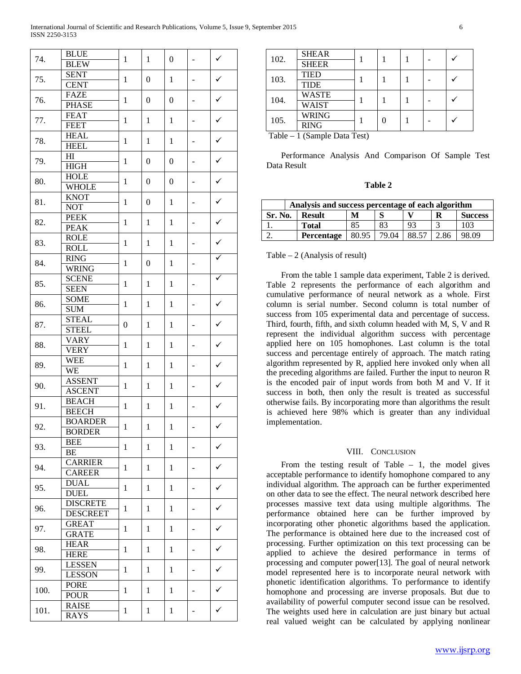| 74.  | <b>BLUE</b>               |                  | 1<br>1           | $\boldsymbol{0}$ | $\overline{\phantom{0}}$ | $\checkmark$ |
|------|---------------------------|------------------|------------------|------------------|--------------------------|--------------|
|      | <b>BLEW</b>               |                  |                  |                  |                          |              |
| 75.  | <b>SENT</b>               |                  |                  |                  |                          | ✓            |
|      | <b>CENT</b>               | $\mathbf{1}$     | $\boldsymbol{0}$ | $\mathbf{1}$     | $\overline{\phantom{0}}$ |              |
| 76.  | <b>FAZE</b>               |                  |                  |                  |                          | ✓            |
|      | <b>PHASE</b>              | $\mathbf{1}$     | $\boldsymbol{0}$ | $\boldsymbol{0}$ | $\overline{\phantom{0}}$ |              |
| 77.  | <b>FEAT</b>               |                  |                  |                  |                          |              |
|      | <b>FEET</b>               | $\mathbf{1}$     | $\mathbf{1}$     | $\mathbf{1}$     | $\overline{\phantom{0}}$ | ✓            |
|      | <b>HEAL</b>               |                  |                  |                  |                          |              |
| 78.  | <b>HEEL</b>               | $\mathbf{1}$     | $\mathbf{1}$     | $\mathbf{1}$     | $\overline{\phantom{0}}$ | ✓            |
|      | H1                        |                  |                  |                  |                          |              |
| 79.  | <b>HIGH</b>               | $\mathbf{1}$     | $\boldsymbol{0}$ | $\boldsymbol{0}$ | $\overline{\phantom{0}}$ | ✓            |
|      | <b>HOLE</b>               |                  |                  |                  |                          |              |
| 80.  | <b>WHOLE</b>              | $\mathbf{1}$     | $\boldsymbol{0}$ | $\boldsymbol{0}$ | $\overline{\phantom{0}}$ | ✓            |
|      | <b>KNOT</b>               |                  |                  |                  |                          |              |
| 81.  |                           | $\mathbf{1}$     | $\boldsymbol{0}$ | $\mathbf{1}$     | $\overline{\phantom{0}}$ | ✓            |
|      | <b>NOT</b><br><b>PEEK</b> |                  |                  |                  |                          |              |
| 82.  |                           | $\mathbf{1}$     | $\mathbf{1}$     | $\mathbf{1}$     | $\overline{\phantom{0}}$ | ✓            |
|      | <b>PEAK</b>               |                  |                  |                  |                          |              |
| 83.  | <b>ROLE</b>               | $\mathbf{1}$     | $\mathbf{1}$     | $\mathbf{1}$     | $\overline{\phantom{0}}$ | ✓            |
|      | <b>ROLL</b>               |                  |                  |                  |                          |              |
| 84.  | <b>RING</b>               | $\mathbf{1}$     | $\boldsymbol{0}$ | $\mathbf{1}$     | $\overline{\phantom{0}}$ |              |
|      | <b>WRING</b>              |                  |                  |                  |                          |              |
| 85.  | <b>SCENE</b>              | $\mathbf{1}$     | $\mathbf{1}$     | $\mathbf{1}$     | $\overline{\phantom{0}}$ | ✓            |
|      | <b>SEEN</b>               |                  |                  |                  |                          |              |
| 86.  | <b>SOME</b>               | $\mathbf{1}$     | $\mathbf{1}$     | $\mathbf{1}$     | $\overline{\phantom{0}}$ | ✓            |
|      | <b>SUM</b>                |                  |                  |                  |                          |              |
| 87.  | <b>STEAL</b>              | $\boldsymbol{0}$ | $\mathbf{1}$     | $\mathbf{1}$     | $\overline{\phantom{0}}$ | ✓            |
|      | <b>STEEL</b>              |                  |                  |                  |                          |              |
| 88.  | <b>VARY</b>               | $\mathbf{1}$     | $\mathbf{1}$     | $\mathbf{1}$     | $\overline{\phantom{0}}$ | ✓            |
|      | <b>VERY</b>               |                  |                  |                  |                          |              |
| 89.  | <b>WEE</b>                | $\mathbf{1}$     | $\mathbf{1}$     | $\mathbf{1}$     |                          | ✓            |
|      | WE                        |                  |                  |                  | -                        |              |
| 90.  | <b>ASSENT</b>             | $\mathbf{1}$     | $\mathbf{1}$     |                  |                          | ✓            |
|      | <b>ASCENT</b>             |                  |                  | 1                | -                        |              |
|      | <b>BEACH</b>              |                  |                  |                  |                          | $\checkmark$ |
| 91.  | <b>BEECH</b>              | $\mathbf{1}$     | 1                | 1                | -                        |              |
|      | <b>BOARDER</b>            |                  | $\mathbf{1}$     |                  |                          | $\checkmark$ |
| 92.  | <b>BORDER</b>             | $\mathbf{1}$     |                  | $\mathbf{1}$     |                          |              |
|      | <b>BEE</b>                |                  | 1                |                  |                          |              |
| 93.  | BE                        | 1                |                  | 1                |                          | ✓            |
|      | <b>CARRIER</b>            |                  |                  |                  |                          |              |
| 94.  | <b>CAREER</b>             | 1                | 1                | 1                |                          | ✓            |
|      | <b>DUAL</b>               |                  |                  |                  |                          |              |
| 95.  | <b>DUEL</b>               | 1                | 1                | 1                | -                        | ✓            |
|      | <b>DISCRETE</b>           |                  |                  |                  |                          |              |
| 96.  | <b>DESCREET</b>           | 1                | 1                | 1                | -                        | ✓            |
| 97.  | <b>GREAT</b>              |                  |                  | 1                |                          |              |
|      | <b>GRATE</b>              | 1                | 1                |                  | -                        | ✓            |
|      | <b>HEAR</b>               |                  |                  |                  |                          |              |
| 98.  | <b>HERE</b>               | 1                | 1                | 1                | -                        | ✓            |
|      | <b>LESSEN</b>             |                  |                  |                  |                          |              |
| 99.  | <b>LESSON</b>             | 1                | 1                | 1                | -                        | ✓            |
|      |                           |                  |                  |                  |                          |              |
| 100. | <b>PORE</b>               | 1                | 1                | 1                | -                        | ✓            |
|      | <b>POUR</b>               |                  |                  |                  |                          |              |
| 101. | <b>RAISE</b>              | 1                | $\mathbf{1}$     | 1                |                          | ✓            |
|      | <b>RAYS</b>               |                  |                  |                  |                          |              |

| 102. | <b>SHEAR</b> |  |  |  |  |
|------|--------------|--|--|--|--|
|      | <b>SHEER</b> |  |  |  |  |
| 103. | <b>TIED</b>  |  |  |  |  |
|      | <b>TIDE</b>  |  |  |  |  |
| 104. | <b>WASTE</b> |  |  |  |  |
|      | <b>WAIST</b> |  |  |  |  |
| 105. | <b>WRING</b> |  |  |  |  |
|      | <b>RING</b>  |  |  |  |  |

Table – 1 (Sample Data Test)

 Performance Analysis And Comparison Of Sample Test Data Result

| 'able |  |
|-------|--|
|-------|--|

| Analysis and success percentage of each algorithm |               |       |       |       |      |                |  |  |
|---------------------------------------------------|---------------|-------|-------|-------|------|----------------|--|--|
| <b>Sr. No.</b>                                    | <b>Result</b> | M     |       |       | R    | <b>Success</b> |  |  |
|                                                   | <b>Total</b>  | 85    | 83    | 93    |      | 103            |  |  |
|                                                   | Percentage    | 80.95 | 79.04 | 88.57 | 2.86 | 98.09          |  |  |

Table  $-2$  (Analysis of result)

 From the table 1 sample data experiment, Table 2 is derived. Table 2 represents the performance of each algorithm and cumulative performance of neural network as a whole. First column is serial number. Second column is total number of success from 105 experimental data and percentage of success. Third, fourth, fifth, and sixth column headed with M, S, V and R represent the individual algorithm success with percentage applied here on 105 homophones. Last column is the total success and percentage entirely of approach. The match rating algorithm represented by R, applied here invoked only when all the preceding algorithms are failed. Further the input to neuron R is the encoded pair of input words from both M and V. If it success in both, then only the result is treated as successful otherwise fails. By incorporating more than algorithms the result is achieved here 98% which is greater than any individual implementation.

#### VIII. CONCLUSION

From the testing result of Table  $-1$ , the model gives acceptable performance to identify homophone compared to any individual algorithm. The approach can be further experimented on other data to see the effect. The neural network described here processes massive text data using multiple algorithms. The performance obtained here can be further improved by incorporating other phonetic algorithms based the application. The performance is obtained here due to the increased cost of processing. Further optimization on this text processing can be applied to achieve the desired performance in terms of processing and computer power[13]. The goal of neural network model represented here is to incorporate neural network with phonetic identification algorithms. To performance to identify homophone and processing are inverse proposals. But due to availability of powerful computer second issue can be resolved. The weights used here in calculation are just binary but actual real valued weight can be calculated by applying nonlinear